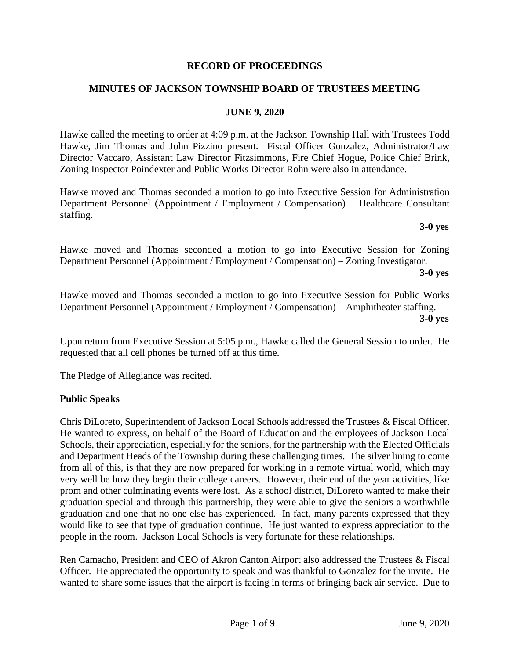### **RECORD OF PROCEEDINGS**

### **MINUTES OF JACKSON TOWNSHIP BOARD OF TRUSTEES MEETING**

### **JUNE 9, 2020**

Hawke called the meeting to order at 4:09 p.m. at the Jackson Township Hall with Trustees Todd Hawke, Jim Thomas and John Pizzino present. Fiscal Officer Gonzalez, Administrator/Law Director Vaccaro, Assistant Law Director Fitzsimmons, Fire Chief Hogue, Police Chief Brink, Zoning Inspector Poindexter and Public Works Director Rohn were also in attendance.

Hawke moved and Thomas seconded a motion to go into Executive Session for Administration Department Personnel (Appointment / Employment / Compensation) – Healthcare Consultant staffing.

### **3-0 yes**

Hawke moved and Thomas seconded a motion to go into Executive Session for Zoning Department Personnel (Appointment / Employment / Compensation) – Zoning Investigator.

**3-0 yes**

Hawke moved and Thomas seconded a motion to go into Executive Session for Public Works Department Personnel (Appointment / Employment / Compensation) – Amphitheater staffing. **3-0 yes**

Upon return from Executive Session at 5:05 p.m., Hawke called the General Session to order. He requested that all cell phones be turned off at this time.

The Pledge of Allegiance was recited.

### **Public Speaks**

Chris DiLoreto, Superintendent of Jackson Local Schools addressed the Trustees & Fiscal Officer. He wanted to express, on behalf of the Board of Education and the employees of Jackson Local Schools, their appreciation, especially for the seniors, for the partnership with the Elected Officials and Department Heads of the Township during these challenging times. The silver lining to come from all of this, is that they are now prepared for working in a remote virtual world, which may very well be how they begin their college careers. However, their end of the year activities, like prom and other culminating events were lost. As a school district, DiLoreto wanted to make their graduation special and through this partnership, they were able to give the seniors a worthwhile graduation and one that no one else has experienced. In fact, many parents expressed that they would like to see that type of graduation continue. He just wanted to express appreciation to the people in the room. Jackson Local Schools is very fortunate for these relationships.

Ren Camacho, President and CEO of Akron Canton Airport also addressed the Trustees & Fiscal Officer. He appreciated the opportunity to speak and was thankful to Gonzalez for the invite. He wanted to share some issues that the airport is facing in terms of bringing back air service. Due to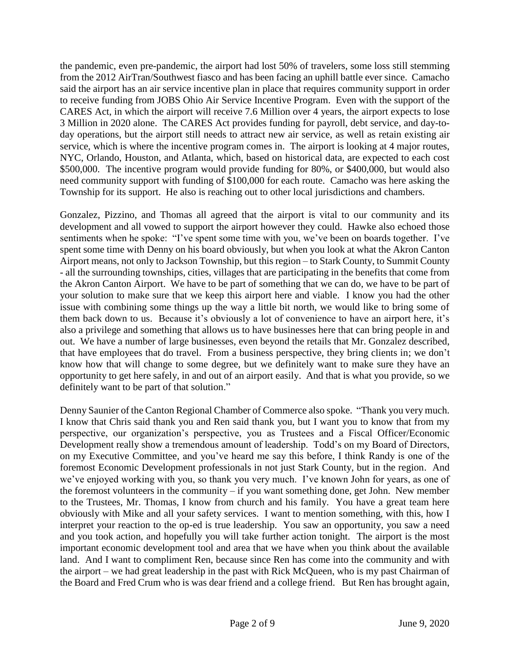the pandemic, even pre-pandemic, the airport had lost 50% of travelers, some loss still stemming from the 2012 AirTran/Southwest fiasco and has been facing an uphill battle ever since. Camacho said the airport has an air service incentive plan in place that requires community support in order to receive funding from JOBS Ohio Air Service Incentive Program. Even with the support of the CARES Act, in which the airport will receive 7.6 Million over 4 years, the airport expects to lose 3 Million in 2020 alone. The CARES Act provides funding for payroll, debt service, and day-today operations, but the airport still needs to attract new air service, as well as retain existing air service, which is where the incentive program comes in. The airport is looking at 4 major routes, NYC, Orlando, Houston, and Atlanta, which, based on historical data, are expected to each cost \$500,000. The incentive program would provide funding for 80%, or \$400,000, but would also need community support with funding of \$100,000 for each route. Camacho was here asking the Township for its support. He also is reaching out to other local jurisdictions and chambers.

Gonzalez, Pizzino, and Thomas all agreed that the airport is vital to our community and its development and all vowed to support the airport however they could. Hawke also echoed those sentiments when he spoke: "I've spent some time with you, we've been on boards together. I've spent some time with Denny on his board obviously, but when you look at what the Akron Canton Airport means, not only to Jackson Township, but this region – to Stark County, to Summit County - all the surrounding townships, cities, villages that are participating in the benefits that come from the Akron Canton Airport. We have to be part of something that we can do, we have to be part of your solution to make sure that we keep this airport here and viable. I know you had the other issue with combining some things up the way a little bit north, we would like to bring some of them back down to us. Because it's obviously a lot of convenience to have an airport here, it's also a privilege and something that allows us to have businesses here that can bring people in and out. We have a number of large businesses, even beyond the retails that Mr. Gonzalez described, that have employees that do travel. From a business perspective, they bring clients in; we don't know how that will change to some degree, but we definitely want to make sure they have an opportunity to get here safely, in and out of an airport easily. And that is what you provide, so we definitely want to be part of that solution."

Denny Saunier of the Canton Regional Chamber of Commerce also spoke. "Thank you very much. I know that Chris said thank you and Ren said thank you, but I want you to know that from my perspective, our organization's perspective, you as Trustees and a Fiscal Officer/Economic Development really show a tremendous amount of leadership. Todd's on my Board of Directors, on my Executive Committee, and you've heard me say this before, I think Randy is one of the foremost Economic Development professionals in not just Stark County, but in the region. And we've enjoyed working with you, so thank you very much. I've known John for years, as one of the foremost volunteers in the community – if you want something done, get John. New member to the Trustees, Mr. Thomas, I know from church and his family. You have a great team here obviously with Mike and all your safety services. I want to mention something, with this, how I interpret your reaction to the op-ed is true leadership. You saw an opportunity, you saw a need and you took action, and hopefully you will take further action tonight. The airport is the most important economic development tool and area that we have when you think about the available land. And I want to compliment Ren, because since Ren has come into the community and with the airport – we had great leadership in the past with Rick McQueen, who is my past Chairman of the Board and Fred Crum who is was dear friend and a college friend. But Ren has brought again,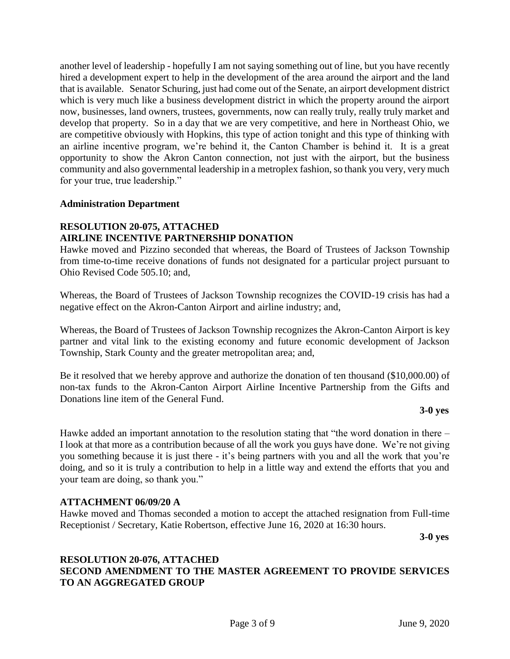another level of leadership - hopefully I am not saying something out of line, but you have recently hired a development expert to help in the development of the area around the airport and the land that is available. Senator Schuring, just had come out of the Senate, an airport development district which is very much like a business development district in which the property around the airport now, businesses, land owners, trustees, governments, now can really truly, really truly market and develop that property. So in a day that we are very competitive, and here in Northeast Ohio, we are competitive obviously with Hopkins, this type of action tonight and this type of thinking with an airline incentive program, we're behind it, the Canton Chamber is behind it. It is a great opportunity to show the Akron Canton connection, not just with the airport, but the business community and also governmental leadership in a metroplex fashion, so thank you very, very much for your true, true leadership."

### **Administration Department**

### **RESOLUTION 20-075, ATTACHED AIRLINE INCENTIVE PARTNERSHIP DONATION**

Hawke moved and Pizzino seconded that whereas, the Board of Trustees of Jackson Township from time-to-time receive donations of funds not designated for a particular project pursuant to Ohio Revised Code 505.10; and,

Whereas, the Board of Trustees of Jackson Township recognizes the COVID-19 crisis has had a negative effect on the Akron-Canton Airport and airline industry; and,

Whereas, the Board of Trustees of Jackson Township recognizes the Akron-Canton Airport is key partner and vital link to the existing economy and future economic development of Jackson Township, Stark County and the greater metropolitan area; and,

Be it resolved that we hereby approve and authorize the donation of ten thousand (\$10,000.00) of non-tax funds to the Akron-Canton Airport Airline Incentive Partnership from the Gifts and Donations line item of the General Fund.

### **3-0 yes**

Hawke added an important annotation to the resolution stating that "the word donation in there – I look at that more as a contribution because of all the work you guys have done. We're not giving you something because it is just there - it's being partners with you and all the work that you're doing, and so it is truly a contribution to help in a little way and extend the efforts that you and your team are doing, so thank you."

### **ATTACHMENT 06/09/20 A**

Hawke moved and Thomas seconded a motion to accept the attached resignation from Full-time Receptionist / Secretary, Katie Robertson, effective June 16, 2020 at 16:30 hours.

**3-0 yes**

### **RESOLUTION 20-076, ATTACHED SECOND AMENDMENT TO THE MASTER AGREEMENT TO PROVIDE SERVICES TO AN AGGREGATED GROUP**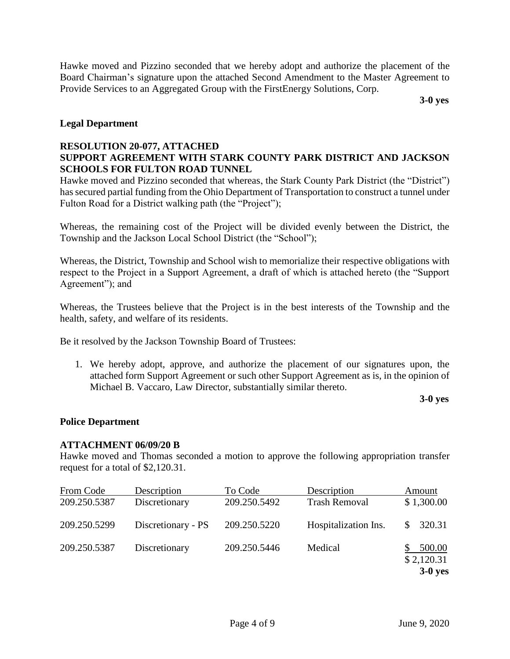Hawke moved and Pizzino seconded that we hereby adopt and authorize the placement of the Board Chairman's signature upon the attached Second Amendment to the Master Agreement to Provide Services to an Aggregated Group with the FirstEnergy Solutions, Corp.

**3-0 yes**

### **Legal Department**

### **RESOLUTION 20-077, ATTACHED SUPPORT AGREEMENT WITH STARK COUNTY PARK DISTRICT AND JACKSON SCHOOLS FOR FULTON ROAD TUNNEL**

Hawke moved and Pizzino seconded that whereas, the Stark County Park District (the "District") has secured partial funding from the Ohio Department of Transportation to construct a tunnel under Fulton Road for a District walking path (the "Project");

Whereas, the remaining cost of the Project will be divided evenly between the District, the Township and the Jackson Local School District (the "School");

Whereas, the District, Township and School wish to memorialize their respective obligations with respect to the Project in a Support Agreement, a draft of which is attached hereto (the "Support Agreement"); and

Whereas, the Trustees believe that the Project is in the best interests of the Township and the health, safety, and welfare of its residents.

Be it resolved by the Jackson Township Board of Trustees:

1. We hereby adopt, approve, and authorize the placement of our signatures upon, the attached form Support Agreement or such other Support Agreement as is, in the opinion of Michael B. Vaccaro, Law Director, substantially similar thereto.

**3-0 yes**

### **Police Department**

### **ATTACHMENT 06/09/20 B**

Hawke moved and Thomas seconded a motion to approve the following appropriation transfer request for a total of \$2,120.31.

| From Code<br>209.250.5387 | Description<br>Discretionary | To Code<br>209.250.5492 | Description<br><b>Trash Removal</b> | Amount<br>\$1,300.00 |
|---------------------------|------------------------------|-------------------------|-------------------------------------|----------------------|
| 209.250.5299              | Discretionary - PS           | 209.250.5220            | Hospitalization Ins.                | 320.31               |
| 209.250.5387              | Discretionary                | 209.250.5446            | Medical                             | 500.00<br>\$2,120.31 |
|                           |                              |                         |                                     | $3-0$ yes            |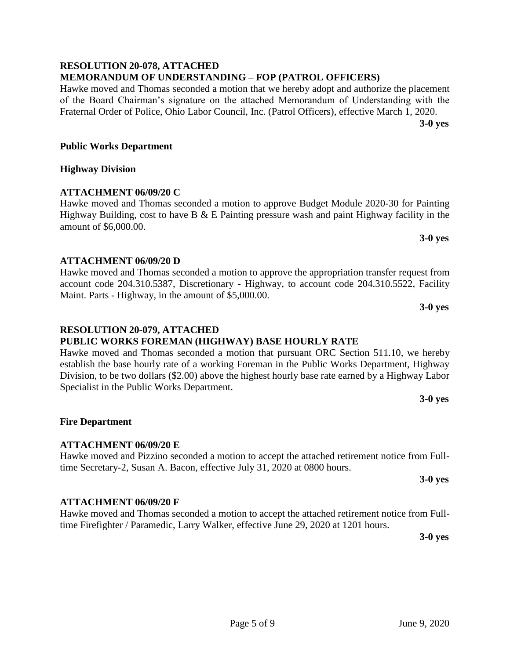### **RESOLUTION 20-078, ATTACHED MEMORANDUM OF UNDERSTANDING – FOP (PATROL OFFICERS)**

Hawke moved and Thomas seconded a motion that we hereby adopt and authorize the placement of the Board Chairman's signature on the attached Memorandum of Understanding with the Fraternal Order of Police, Ohio Labor Council, Inc. (Patrol Officers), effective March 1, 2020.

**3-0 yes**

### **Public Works Department**

### **Highway Division**

### **ATTACHMENT 06/09/20 C**

Hawke moved and Thomas seconded a motion to approve Budget Module 2020-30 for Painting Highway Building, cost to have B  $&$  E Painting pressure wash and paint Highway facility in the amount of \$6,000.00.

### **ATTACHMENT 06/09/20 D**

**RESOLUTION 20-079, ATTACHED**

Specialist in the Public Works Department.

Hawke moved and Thomas seconded a motion to approve the appropriation transfer request from account code 204.310.5387, Discretionary - Highway, to account code 204.310.5522, Facility Maint. Parts - Highway, in the amount of \$5,000.00.

Hawke moved and Thomas seconded a motion that pursuant ORC Section 511.10, we hereby establish the base hourly rate of a working Foreman in the Public Works Department, Highway Division, to be two dollars (\$2.00) above the highest hourly base rate earned by a Highway Labor

Hawke moved and Pizzino seconded a motion to accept the attached retirement notice from Full-

Hawke moved and Thomas seconded a motion to accept the attached retirement notice from Full-

time Firefighter / Paramedic, Larry Walker, effective June 29, 2020 at 1201 hours.

**PUBLIC WORKS FOREMAN (HIGHWAY) BASE HOURLY RATE**

### **3-0 yes**

**3-0 yes**

# **3-0 yes**

# **3-0 yes**

### **3-0 yes**

# **ATTACHMENT 06/09/20 F**

# time Secretary-2, Susan A. Bacon, effective July 31, 2020 at 0800 hours.

**ATTACHMENT 06/09/20 E**

**Fire Department**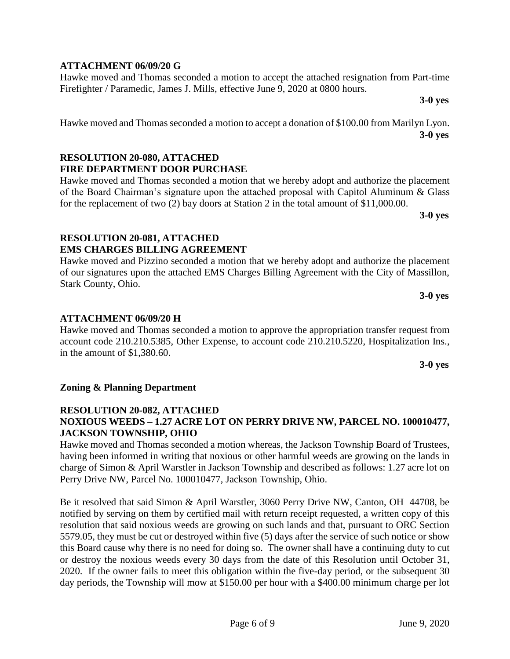## **ATTACHMENT 06/09/20 G**

Hawke moved and Thomas seconded a motion to accept the attached resignation from Part-time Firefighter / Paramedic, James J. Mills, effective June 9, 2020 at 0800 hours.

**3-0 yes**

Hawke moved and Thomas seconded a motion to accept a donation of \$100.00 from Marilyn Lyon. **3-0 yes**

### **RESOLUTION 20-080, ATTACHED FIRE DEPARTMENT DOOR PURCHASE**

Hawke moved and Thomas seconded a motion that we hereby adopt and authorize the placement of the Board Chairman's signature upon the attached proposal with Capitol Aluminum & Glass for the replacement of two (2) bay doors at Station 2 in the total amount of \$11,000.00.

**3-0 yes**

### **RESOLUTION 20-081, ATTACHED EMS CHARGES BILLING AGREEMENT**

Hawke moved and Pizzino seconded a motion that we hereby adopt and authorize the placement of our signatures upon the attached EMS Charges Billing Agreement with the City of Massillon, Stark County, Ohio.

**ATTACHMENT 06/09/20 H**

Hawke moved and Thomas seconded a motion to approve the appropriation transfer request from account code 210.210.5385, Other Expense, to account code 210.210.5220, Hospitalization Ins., in the amount of \$1,380.60.

### **Zoning & Planning Department**

### **RESOLUTION 20-082, ATTACHED NOXIOUS WEEDS – 1.27 ACRE LOT ON PERRY DRIVE NW, PARCEL NO. 100010477, JACKSON TOWNSHIP, OHIO**

Hawke moved and Thomas seconded a motion whereas, the Jackson Township Board of Trustees, having been informed in writing that noxious or other harmful weeds are growing on the lands in charge of Simon & April Warstler in Jackson Township and described as follows: 1.27 acre lot on Perry Drive NW, Parcel No. 100010477, Jackson Township, Ohio.

Be it resolved that said Simon & April Warstler, 3060 Perry Drive NW, Canton, OH 44708, be notified by serving on them by certified mail with return receipt requested, a written copy of this resolution that said noxious weeds are growing on such lands and that, pursuant to ORC Section 5579.05, they must be cut or destroyed within five (5) days after the service of such notice or show this Board cause why there is no need for doing so. The owner shall have a continuing duty to cut or destroy the noxious weeds every 30 days from the date of this Resolution until October 31, 2020. If the owner fails to meet this obligation within the five-day period, or the subsequent 30 day periods, the Township will mow at \$150.00 per hour with a \$400.00 minimum charge per lot

**3-0 yes**

**3-0 yes**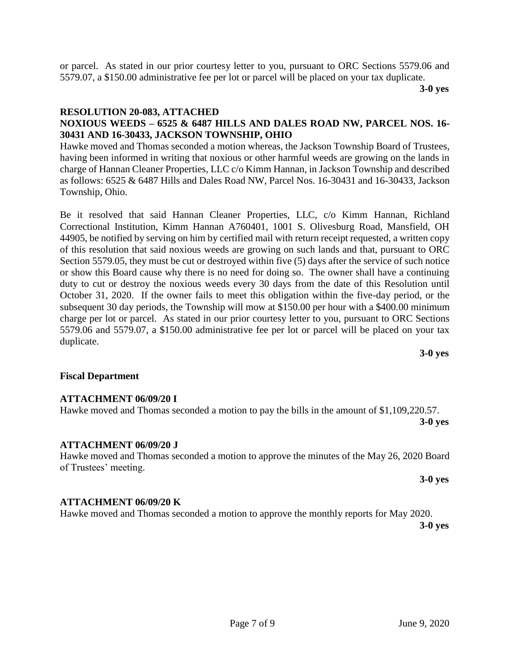or parcel. As stated in our prior courtesy letter to you, pursuant to ORC Sections 5579.06 and 5579.07, a \$150.00 administrative fee per lot or parcel will be placed on your tax duplicate.

**3-0 yes**

### **RESOLUTION 20-083, ATTACHED**

### **NOXIOUS WEEDS – 6525 & 6487 HILLS AND DALES ROAD NW, PARCEL NOS. 16- 30431 AND 16-30433, JACKSON TOWNSHIP, OHIO**

Hawke moved and Thomas seconded a motion whereas, the Jackson Township Board of Trustees, having been informed in writing that noxious or other harmful weeds are growing on the lands in charge of Hannan Cleaner Properties, LLC c/o Kimm Hannan, in Jackson Township and described as follows: 6525 & 6487 Hills and Dales Road NW, Parcel Nos. 16-30431 and 16-30433, Jackson Township, Ohio.

Be it resolved that said Hannan Cleaner Properties, LLC, c/o Kimm Hannan, Richland Correctional Institution, Kimm Hannan A760401, 1001 S. Olivesburg Road, Mansfield, OH 44905, be notified by serving on him by certified mail with return receipt requested, a written copy of this resolution that said noxious weeds are growing on such lands and that, pursuant to ORC Section 5579.05, they must be cut or destroyed within five (5) days after the service of such notice or show this Board cause why there is no need for doing so. The owner shall have a continuing duty to cut or destroy the noxious weeds every 30 days from the date of this Resolution until October 31, 2020. If the owner fails to meet this obligation within the five-day period, or the subsequent 30 day periods, the Township will mow at \$150.00 per hour with a \$400.00 minimum charge per lot or parcel. As stated in our prior courtesy letter to you, pursuant to ORC Sections 5579.06 and 5579.07, a \$150.00 administrative fee per lot or parcel will be placed on your tax duplicate.

### **Fiscal Department**

### **ATTACHMENT 06/09/20 I**

# **ATTACHMENT 06/09/20 J**

### Hawke moved and Thomas seconded a motion to approve the minutes of the May 26, 2020 Board of Trustees' meeting. **3-0 yes**

Hawke moved and Thomas seconded a motion to pay the bills in the amount of \$1,109,220.57.

### **ATTACHMENT 06/09/20 K**

Hawke moved and Thomas seconded a motion to approve the monthly reports for May 2020.

**3-0 yes**

### **3-0 yes**

**3-0 yes**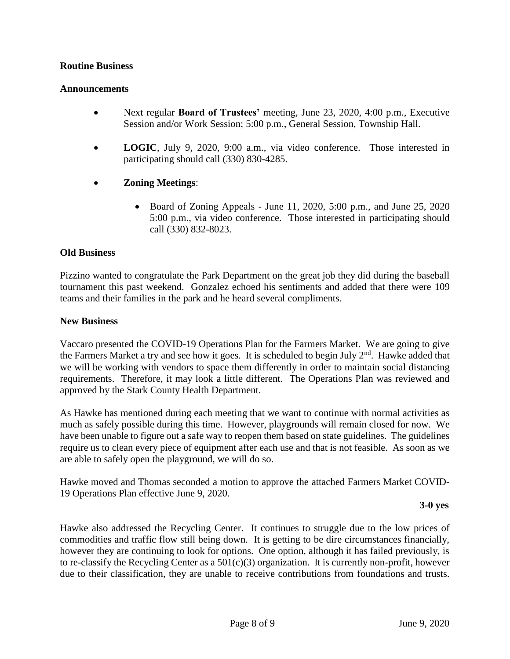### **Routine Business**

### **Announcements**

- Next regular **Board of Trustees'** meeting, June 23, 2020, 4:00 p.m., Executive Session and/or Work Session; 5:00 p.m., General Session, Township Hall.
- **LOGIC**, July 9, 2020, 9:00 a.m., via video conference. Those interested in participating should call (330) 830-4285.
- **Zoning Meetings**:
	- $\bullet$  Board of Zoning Appeals June 11, 2020, 5:00 p.m., and June 25, 2020 5:00 p.m., via video conference. Those interested in participating should call (330) 832-8023.

### **Old Business**

Pizzino wanted to congratulate the Park Department on the great job they did during the baseball tournament this past weekend. Gonzalez echoed his sentiments and added that there were 109 teams and their families in the park and he heard several compliments.

### **New Business**

Vaccaro presented the COVID-19 Operations Plan for the Farmers Market. We are going to give the Farmers Market a try and see how it goes. It is scheduled to begin July  $2<sup>nd</sup>$ . Hawke added that we will be working with vendors to space them differently in order to maintain social distancing requirements. Therefore, it may look a little different. The Operations Plan was reviewed and approved by the Stark County Health Department.

As Hawke has mentioned during each meeting that we want to continue with normal activities as much as safely possible during this time. However, playgrounds will remain closed for now. We have been unable to figure out a safe way to reopen them based on state guidelines. The guidelines require us to clean every piece of equipment after each use and that is not feasible. As soon as we are able to safely open the playground, we will do so.

Hawke moved and Thomas seconded a motion to approve the attached Farmers Market COVID-19 Operations Plan effective June 9, 2020.

### **3-0 yes**

Hawke also addressed the Recycling Center. It continues to struggle due to the low prices of commodities and traffic flow still being down. It is getting to be dire circumstances financially, however they are continuing to look for options. One option, although it has failed previously, is to re-classify the Recycling Center as a  $501(c)(3)$  organization. It is currently non-profit, however due to their classification, they are unable to receive contributions from foundations and trusts.